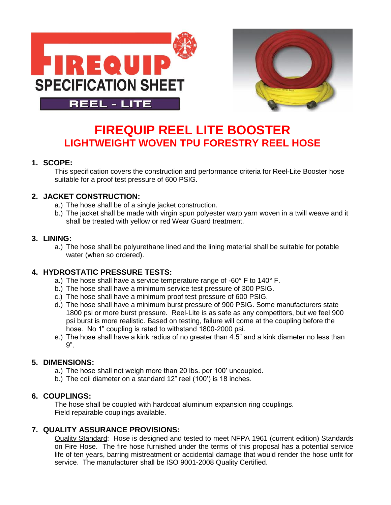



# **FIREQUIP REEL LITE BOOSTER LIGHTWEIGHT WOVEN TPU FORESTRY REEL HOSE**

## **1. SCOPE:**

This specification covers the construction and performance criteria for Reel-Lite Booster hose suitable for a proof test pressure of 600 PSIG.

# **2. JACKET CONSTRUCTION:**

- a.) The hose shall be of a single jacket construction.
- b.) The jacket shall be made with virgin spun polyester warp yarn woven in a twill weave and it shall be treated with yellow or red Wear Guard treatment.

## **3. LINING:**

a.) The hose shall be polyurethane lined and the lining material shall be suitable for potable water (when so ordered).

# **4. HYDROSTATIC PRESSURE TESTS:**

- a.) The hose shall have a service temperature range of -60° F to 140° F.
- b.) The hose shall have a minimum service test pressure of 300 PSIG.
- c.) The hose shall have a minimum proof test pressure of 600 PSIG.
- d.) The hose shall have a minimum burst pressure of 900 PSIG. Some manufacturers state 1800 psi or more burst pressure. Reel-Lite is as safe as any competitors, but we feel 900 psi burst is more realistic. Based on testing, failure will come at the coupling before the hose. No 1" coupling is rated to withstand 1800-2000 psi.
- e.) The hose shall have a kink radius of no greater than 4.5" and a kink diameter no less than 9".

# **5. DIMENSIONS:**

- a.) The hose shall not weigh more than 20 lbs. per 100' uncoupled.
- b.) The coil diameter on a standard 12" reel (100') is 18 inches.

#### **6. COUPLINGS:**

The hose shall be coupled with hardcoat aluminum expansion ring couplings. Field repairable couplings available.

#### **7. QUALITY ASSURANCE PROVISIONS:**

Quality Standard: Hose is designed and tested to meet NFPA 1961 (current edition) Standards on Fire Hose. The fire hose furnished under the terms of this proposal has a potential service life of ten years, barring mistreatment or accidental damage that would render the hose unfit for service. The manufacturer shall be ISO 9001-2008 Quality Certified.